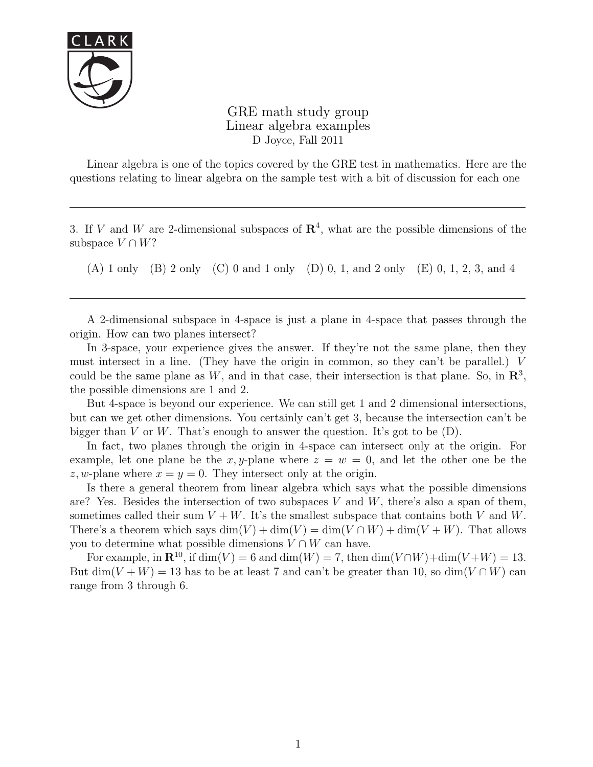

GRE math study group Linear algebra examples D Joyce, Fall 2011

Linear algebra is one of the topics covered by the GRE test in mathematics. Here are the questions relating to linear algebra on the sample test with a bit of discussion for each one

3. If V and W are 2-dimensional subspaces of  $\mathbb{R}^4$ , what are the possible dimensions of the subspace  $V \cap W$ ?

(A) 1 only (B) 2 only (C) 0 and 1 only (D) 0, 1, and 2 only (E) 0, 1, 2, 3, and 4

A 2-dimensional subspace in 4-space is just a plane in 4-space that passes through the origin. How can two planes intersect?

In 3-space, your experience gives the answer. If they're not the same plane, then they must intersect in a line. (They have the origin in common, so they can't be parallel.) V could be the same plane as W, and in that case, their intersection is that plane. So, in  $\mathbb{R}^3$ , the possible dimensions are 1 and 2.

But 4-space is beyond our experience. We can still get 1 and 2 dimensional intersections, but can we get other dimensions. You certainly can't get 3, because the intersection can't be bigger than V or W. That's enough to answer the question. It's got to be  $(D)$ .

In fact, two planes through the origin in 4-space can intersect only at the origin. For example, let one plane be the x, y-plane where  $z = w = 0$ , and let the other one be the z, w-plane where  $x = y = 0$ . They intersect only at the origin.

Is there a general theorem from linear algebra which says what the possible dimensions are? Yes. Besides the intersection of two subspaces  $V$  and  $W$ , there's also a span of them, sometimes called their sum  $V + W$ . It's the smallest subspace that contains both V and W. There's a theorem which says  $\dim(V) + \dim(V) = \dim(V \cap W) + \dim(V + W)$ . That allows you to determine what possible dimensions  $V \cap W$  can have.

For example, in  $\mathbb{R}^{10}$ , if  $\dim(V) = 6$  and  $\dim(W) = 7$ , then  $\dim(V \cap W) + \dim(V + W) = 13$ . But dim(V + W) = 13 has to be at least 7 and can't be greater than 10, so dim(V  $\cap$  W) can range from 3 through 6.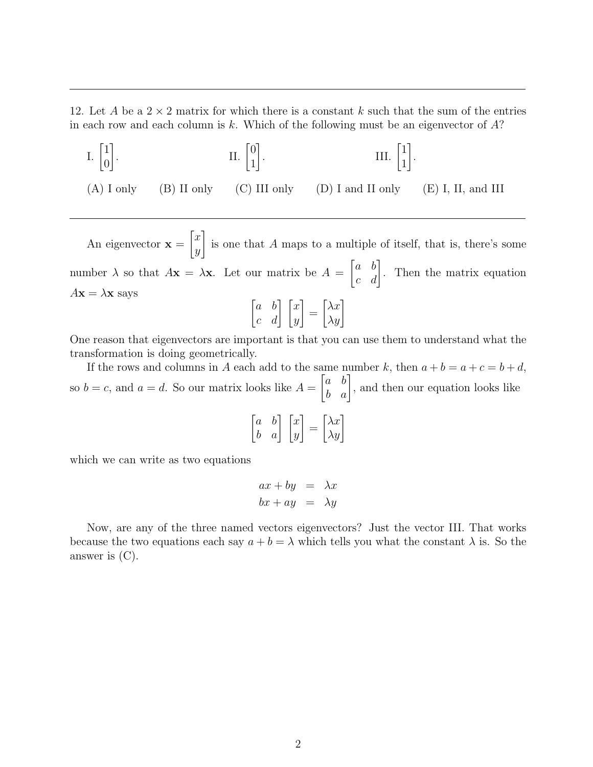12. Let A be a  $2 \times 2$  matrix for which there is a constant k such that the sum of the entries in each row and each column is k. Which of the following must be an eigenvector of  $A$ ?

I.  $\begin{bmatrix} 1 \\ 0 \end{bmatrix}$ 0 1  $\prod_{i=1}^{n}$   $\prod_{i=1}^{n}$ 1 1 . III.  $\begin{bmatrix} 1 \\ 1 \end{bmatrix}$ 1 1 . (A) I only (B) II only (C) III only (D) I and II only (E) I, II, and III

An eigenvector  $x =$  $\lceil x \rceil$  $\hat{y}$ 1 is one that A maps to a multiple of itself, that is, there's some number  $\lambda$  so that  $A\mathbf{x} = \lambda\mathbf{x}$ . Let our matrix be  $A =$  $\begin{bmatrix} a & b \\ c & d \end{bmatrix}$ . Then the matrix equation  $A\mathbf{x} = \lambda \mathbf{x}$  says  $\begin{bmatrix} a & b \\ c & d \end{bmatrix} \begin{bmatrix} x \\ y \end{bmatrix}$ 1 =  $\begin{bmatrix} \lambda x \\ \lambda y \end{bmatrix}$ 

One reason that eigenvectors are important is that you can use them to understand what the transformation is doing geometrically.

If the rows and columns in A each add to the same number k, then  $a + b = a + c = b + d$ , so  $b = c$ , and  $a = d$ . So our matrix looks like  $A =$  $\begin{bmatrix} a & b \\ b & a \end{bmatrix}$ , and then our equation looks like

$$
\begin{bmatrix} a & b \\ b & a \end{bmatrix} \begin{bmatrix} x \\ y \end{bmatrix} = \begin{bmatrix} \lambda x \\ \lambda y \end{bmatrix}
$$

which we can write as two equations

$$
ax + by = \lambda x
$$
  

$$
bx + ay = \lambda y
$$

Now, are any of the three named vectors eigenvectors? Just the vector III. That works because the two equations each say  $a + b = \lambda$  which tells you what the constant  $\lambda$  is. So the answer is (C).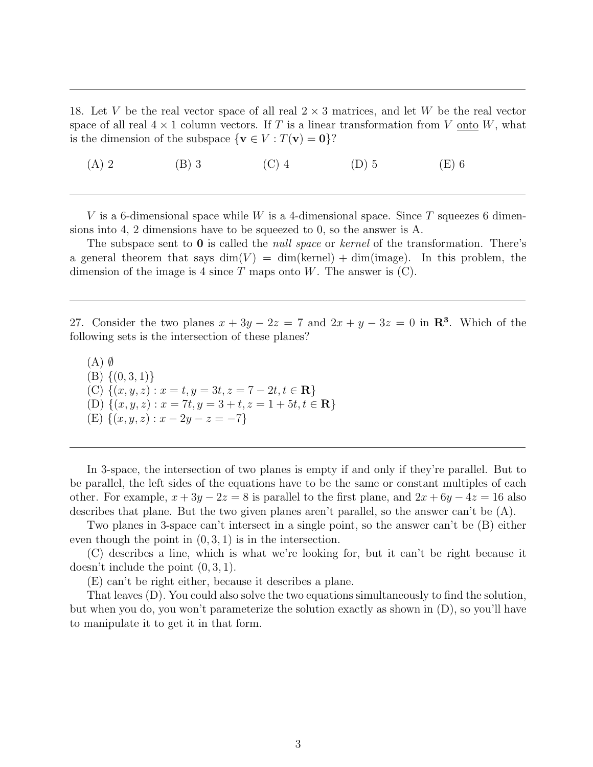18. Let V be the real vector space of all real  $2 \times 3$  matrices, and let W be the real vector space of all real  $4 \times 1$  column vectors. If T is a linear transformation from V onto W, what is the dimension of the subspace  $\{v \in V : T(v) = 0\}$ ?

(A) 2 (B) 3 (C) 4 (D) 5 (E) 6

V is a 6-dimensional space while W is a 4-dimensional space. Since T squeezes 6 dimensions into 4, 2 dimensions have to be squeezed to 0, so the answer is A.

The subspace sent to  $\bf{0}$  is called the *null space* or *kernel* of the transformation. There's a general theorem that says  $\dim(V) = \dim(k\text{ernel}) + \dim(\text{image})$ . In this problem, the dimension of the image is 4 since  $T$  maps onto  $W$ . The answer is  $(C)$ .

27. Consider the two planes  $x + 3y - 2z = 7$  and  $2x + y - 3z = 0$  in  $\mathbb{R}^3$ . Which of the following sets is the intersection of these planes?

 $(A)$   $\emptyset$  $(B) \{(0,3,1)\}\$ (C)  $\{(x, y, z) : x = t, y = 3t, z = 7 - 2t, t \in \mathbb{R}\}\$ (D)  $\{(x, y, z) : x = 7t, y = 3 + t, z = 1 + 5t, t \in \mathbb{R}\}\$ (E)  $\{(x, y, z) : x - 2y - z = -7\}$ 

In 3-space, the intersection of two planes is empty if and only if they're parallel. But to be parallel, the left sides of the equations have to be the same or constant multiples of each other. For example,  $x + 3y - 2z = 8$  is parallel to the first plane, and  $2x + 6y - 4z = 16$  also describes that plane. But the two given planes aren't parallel, so the answer can't be (A).

Two planes in 3-space can't intersect in a single point, so the answer can't be (B) either even though the point in  $(0, 3, 1)$  is in the intersection.

(C) describes a line, which is what we're looking for, but it can't be right because it doesn't include the point (0, 3, 1).

(E) can't be right either, because it describes a plane.

That leaves (D). You could also solve the two equations simultaneously to find the solution, but when you do, you won't parameterize the solution exactly as shown in (D), so you'll have to manipulate it to get it in that form.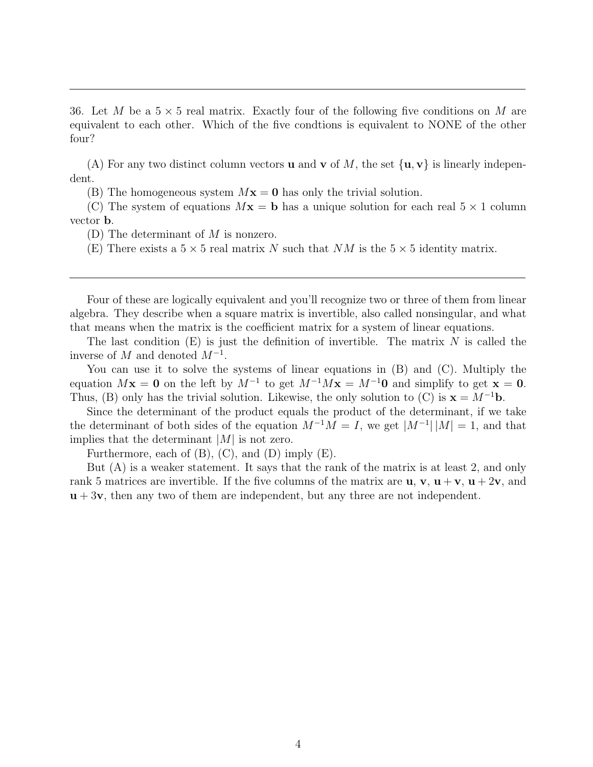36. Let M be a  $5 \times 5$  real matrix. Exactly four of the following five conditions on M are equivalent to each other. Which of the five condtions is equivalent to NONE of the other four?

(A) For any two distinct column vectors **u** and **v** of M, the set  $\{u, v\}$  is linearly independent.

(B) The homogeneous system  $Mx = 0$  has only the trivial solution.

(C) The system of equations  $Mx = b$  has a unique solution for each real  $5 \times 1$  column vector b.

(D) The determinant of  $M$  is nonzero.

(E) There exists a  $5 \times 5$  real matrix N such that NM is the  $5 \times 5$  identity matrix.

Four of these are logically equivalent and you'll recognize two or three of them from linear algebra. They describe when a square matrix is invertible, also called nonsingular, and what that means when the matrix is the coefficient matrix for a system of linear equations.

The last condition  $(E)$  is just the definition of invertible. The matrix N is called the inverse of  $M$  and denoted  $M^{-1}$ .

You can use it to solve the systems of linear equations in  $(B)$  and  $(C)$ . Multiply the equation  $Mx = 0$  on the left by  $M^{-1}$  to get  $M^{-1}Mx = M^{-1}0$  and simplify to get  $x = 0$ . Thus, (B) only has the trivial solution. Likewise, the only solution to (C) is  $\mathbf{x} = M^{-1}\mathbf{b}$ .

Since the determinant of the product equals the product of the determinant, if we take the determinant of both sides of the equation  $M^{-1}M = I$ , we get  $|M^{-1}| |M| = 1$ , and that implies that the determinant  $|M|$  is not zero.

Furthermore, each of  $(B)$ ,  $(C)$ , and  $(D)$  imply  $(E)$ .

But (A) is a weaker statement. It says that the rank of the matrix is at least 2, and only rank 5 matrices are invertible. If the five columns of the matrix are  $\mathbf{u}, \mathbf{v}, \mathbf{u} + \mathbf{v}, \mathbf{u} + 2\mathbf{v}$ , and  $u + 3v$ , then any two of them are independent, but any three are not independent.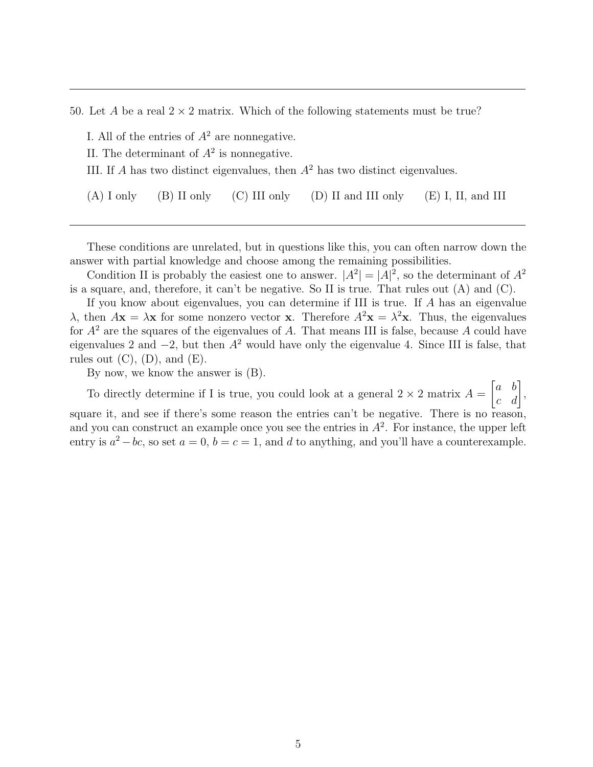50. Let A be a real  $2 \times 2$  matrix. Which of the following statements must be true?

I. All of the entries of  $A^2$  are nonnegative.

- II. The determinant of  $A^2$  is nonnegative.
- III. If A has two distinct eigenvalues, then  $A<sup>2</sup>$  has two distinct eigenvalues.

(A) I only (B) II only (C) III only (D) II and III only (E) I, II, and III

These conditions are unrelated, but in questions like this, you can often narrow down the answer with partial knowledge and choose among the remaining possibilities.

Condition II is probably the easiest one to answer.  $|A^2| = |A|^2$ , so the determinant of  $A^2$ is a square, and, therefore, it can't be negative. So II is true. That rules out (A) and (C).

If you know about eigenvalues, you can determine if III is true. If A has an eigenvalue  $\lambda$ , then  $A\mathbf{x} = \lambda \mathbf{x}$  for some nonzero vector **x**. Therefore  $A^2\mathbf{x} = \lambda^2\mathbf{x}$ . Thus, the eigenvalues for  $A^2$  are the squares of the eigenvalues of A. That means III is false, because A could have eigenvalues 2 and  $-2$ , but then  $A^2$  would have only the eigenvalue 4. Since III is false, that rules out  $(C)$ ,  $(D)$ , and  $(E)$ .

By now, we know the answer is (B).

To directly determine if I is true, you could look at a general  $2 \times 2$  matrix  $A =$  $\begin{bmatrix} a & b \\ c & d \end{bmatrix}$ 

square it, and see if there's some reason the entries can't be negative. There is no reason, and you can construct an example once you see the entries in  $A^2$ . For instance, the upper left entry is  $a^2 - bc$ , so set  $a = 0$ ,  $b = c = 1$ , and d to anything, and you'll have a counterexample.